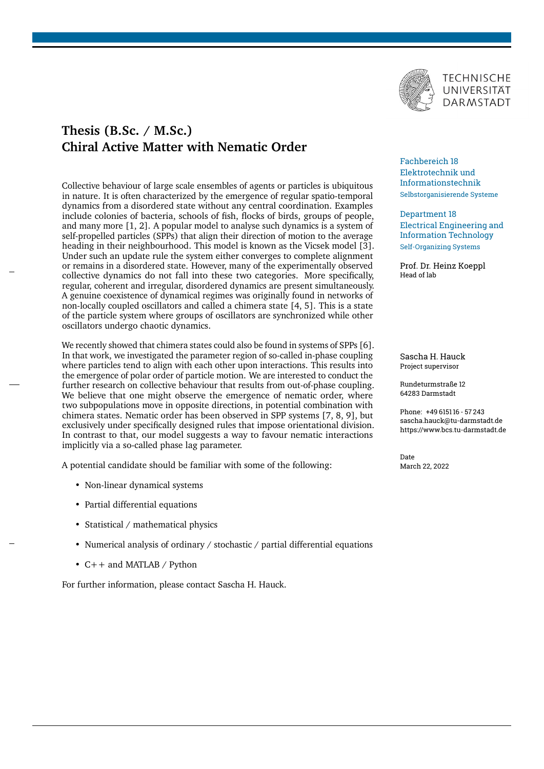

## **Thesis (B.Sc. / M.Sc.) Chiral Active Matter with Nematic Order**

Collective behaviour of large scale ensembles of agents or particles is ubiquitous in nature. It is often characterized by the emergence of regular spatio-temporal dynamics from a disordered state without any central coordination. Examples include colonies of bacteria, schools of fish, flocks of birds, groups of people, and many more [\[1,](#page-1-0) [2\]](#page-1-1). A popular model to analyse such dynamics is a system of self-propelled particles (SPPs) that align their direction of motion to the average heading in their neighbourhood. This model is known as the Vicsek model [\[3\]](#page-1-2). Under such an update rule the system either converges to complete alignment or remains in a disordered state. However, many of the experimentally observed collective dynamics do not fall into these two categories. More specifically, regular, coherent and irregular, disordered dynamics are present simultaneously. A genuine coexistence of dynamical regimes was originally found in networks of non-locally coupled oscillators and called a chimera state [\[4,](#page-1-3) [5\]](#page-1-4). This is a state of the particle system where groups of oscillators are synchronized while other oscillators undergo chaotic dynamics.

We recently showed that chimera states could also be found in systems of SPPs [\[6\]](#page-1-5). In that work, we investigated the parameter region of so-called in-phase coupling where particles tend to align with each other upon interactions. This results into the emergence of polar order of particle motion. We are interested to conduct the further research on collective behaviour that results from out-of-phase coupling. We believe that one might observe the emergence of nematic order, where two subpopulations move in opposite directions, in potential combination with chimera states. Nematic order has been observed in SPP systems [\[7,](#page-1-6) [8,](#page-1-7) [9\]](#page-1-8), but exclusively under specifically designed rules that impose orientational division. In contrast to that, our model suggests a way to favour nematic interactions implicitly via a so-called phase lag parameter.

A potential candidate should be familiar with some of the following:

- Non-linear dynamical systems
- Partial differential equations
- Statistical / mathematical physics
- Numerical analysis of ordinary / stochastic / partial differential equations
- C++ and MATLAB / Python

For further information, please contact Sascha H. Hauck.

## Fachbereich 18 Elektrotechnik und Informationstechnik Selbstorganisierende Systeme

Department 18 Electrical Engineering and Information Technology Self-Organizing Systems

Prof. Dr. Heinz Koeppl Head of lab

Sascha H. Hauck Project supervisor

Rundeturmstraße 12 64283 Darmstadt

Phone: +49 6151 16 - 57 243 sascha.hauck@tu-darmstadt.de https://www.bcs.tu-darmstadt.de

Date March 22, 2022